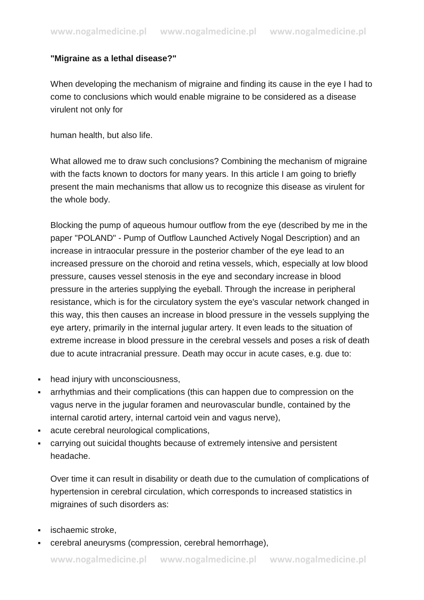## **"Migraine as a lethal disease?"**

When developing the mechanism of migraine and finding its cause in the eye I had to come to conclusions which would enable migraine to be considered as a disease virulent not only for

human health, but also life.

What allowed me to draw such conclusions? Combining the mechanism of migraine with the facts known to doctors for many years. In this article I am going to briefly present the main mechanisms that allow us to recognize this disease as virulent for the whole body.

Blocking the pump of aqueous humour outflow from the eye (described by me in the paper "POLAND" - Pump of Outflow Launched Actively Nogal Description) and an increase in intraocular pressure in the posterior chamber of the eye lead to an increased pressure on the choroid and retina vessels, which, especially at low blood pressure, causes vessel stenosis in the eye and secondary increase in blood pressure in the arteries supplying the eyeball. Through the increase in peripheral resistance, which is for the circulatory system the eye's vascular network changed in this way, this then causes an increase in blood pressure in the vessels supplying the eye artery, primarily in the internal jugular artery. It even leads to the situation of extreme increase in blood pressure in the cerebral vessels and poses a risk of death due to acute intracranial pressure. Death may occur in acute cases, e.g. due to:

- head injury with unconsciousness,
- arrhythmias and their complications (this can happen due to compression on the vagus nerve in the jugular foramen and neurovascular bundle, contained by the internal carotid artery, internal cartoid vein and vagus nerve),
- acute cerebral neurological complications,
- carrying out suicidal thoughts because of extremely intensive and persistent headache.

Over time it can result in disability or death due to the cumulation of complications of hypertension in cerebral circulation, which corresponds to increased statistics in migraines of such disorders as:

- **ischaemic stroke.**
- cerebral aneurysms (compression, cerebral hemorrhage),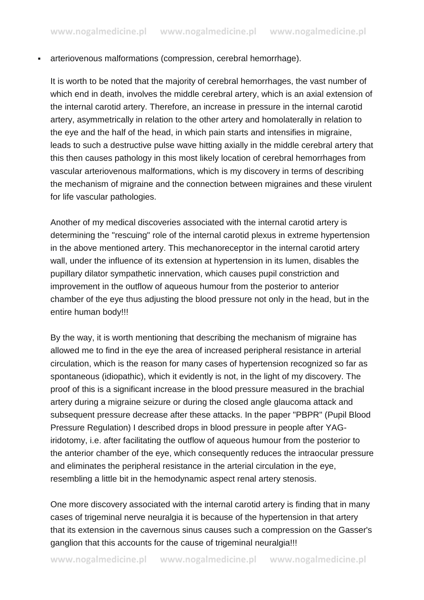arteriovenous malformations (compression, cerebral hemorrhage).

It is worth to be noted that the majority of cerebral hemorrhages, the vast number of which end in death, involves the middle cerebral artery, which is an axial extension of the internal carotid artery. Therefore, an increase in pressure in the internal carotid artery, asymmetrically in relation to the other artery and homolaterally in relation to the eye and the half of the head, in which pain starts and intensifies in migraine, leads to such a destructive pulse wave hitting axially in the middle cerebral artery that this then causes pathology in this most likely location of cerebral hemorrhages from vascular arteriovenous malformations, which is my discovery in terms of describing the mechanism of migraine and the connection between migraines and these virulent for life vascular pathologies.

Another of my medical discoveries associated with the internal carotid artery is determining the "rescuing" role of the internal carotid plexus in extreme hypertension in the above mentioned artery. This mechanoreceptor in the internal carotid artery wall, under the influence of its extension at hypertension in its lumen, disables the pupillary dilator sympathetic innervation, which causes pupil constriction and improvement in the outflow of aqueous humour from the posterior to anterior chamber of the eye thus adjusting the blood pressure not only in the head, but in the entire human body!!!

By the way, it is worth mentioning that describing the mechanism of migraine has allowed me to find in the eye the area of increased peripheral resistance in arterial circulation, which is the reason for many cases of hypertension recognized so far as spontaneous (idiopathic), which it evidently is not, in the light of my discovery. The proof of this is a significant increase in the blood pressure measured in the brachial artery during a migraine seizure or during the closed angle glaucoma attack and subsequent pressure decrease after these attacks. In the paper "PBPR" (Pupil Blood Pressure Regulation) I described drops in blood pressure in people after YAGiridotomy, i.e. after facilitating the outflow of aqueous humour from the posterior to the anterior chamber of the eye, which consequently reduces the intraocular pressure and eliminates the peripheral resistance in the arterial circulation in the eye, resembling a little bit in the hemodynamic aspect renal artery stenosis.

One more discovery associated with the internal carotid artery is finding that in many cases of trigeminal nerve neuralgia it is because of the hypertension in that artery that its extension in the cavernous sinus causes such a compression on the Gasser's ganglion that this accounts for the cause of trigeminal neuralgia!!!